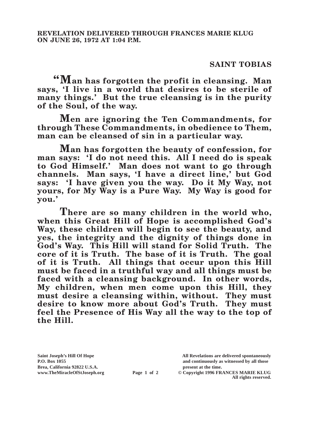## **SAINT TOBIAS**

**"Man has forgotten the profit in cleansing. Man says, 'I live in a world that desires to be sterile of many things.' But the true cleansing is in the purity of the Soul, of the way.**

**Men are ignoring the Ten Commandments, for through These Commandments, in obedience to Them, man can be cleansed of sin in a particular way.**

**Man has forgotten the beauty of confession, for man says: 'I do not need this. All I need do is speak to God Himself.' Man does not want to go through channels. Man says, 'I have a direct line,' but God says: 'I have given you the way. Do it My Way, not yours, for My Way is a Pure Way. My Way is good for you.'**

**There are so many children in the world who, when this Great Hill of Hope is accomplished God's Way, these children will begin to see the beauty, and yes, the integrity and the dignity of things done in God's Way. This Hill will stand for Solid Truth. The core of it is Truth. The base of it is Truth. The goal of it is Truth. All things that occur upon this Hill must be faced in a truthful way and all things must be faced with a cleansing background. In other words, My children, when men come upon this Hill, they must desire a cleansing within, without. They must desire to know more about God's Truth. They must feel the Presence of His Way all the way to the top of the Hill.**

**Saint Joseph's Hill Of Hope All Revelations are delivered spontaneously P.O. Box 1055 and continuously as witnessed by all those** 

**Page 1 of 2** © Copyright 1996 FRANCES MARIE KLUG **All rights reserved.**